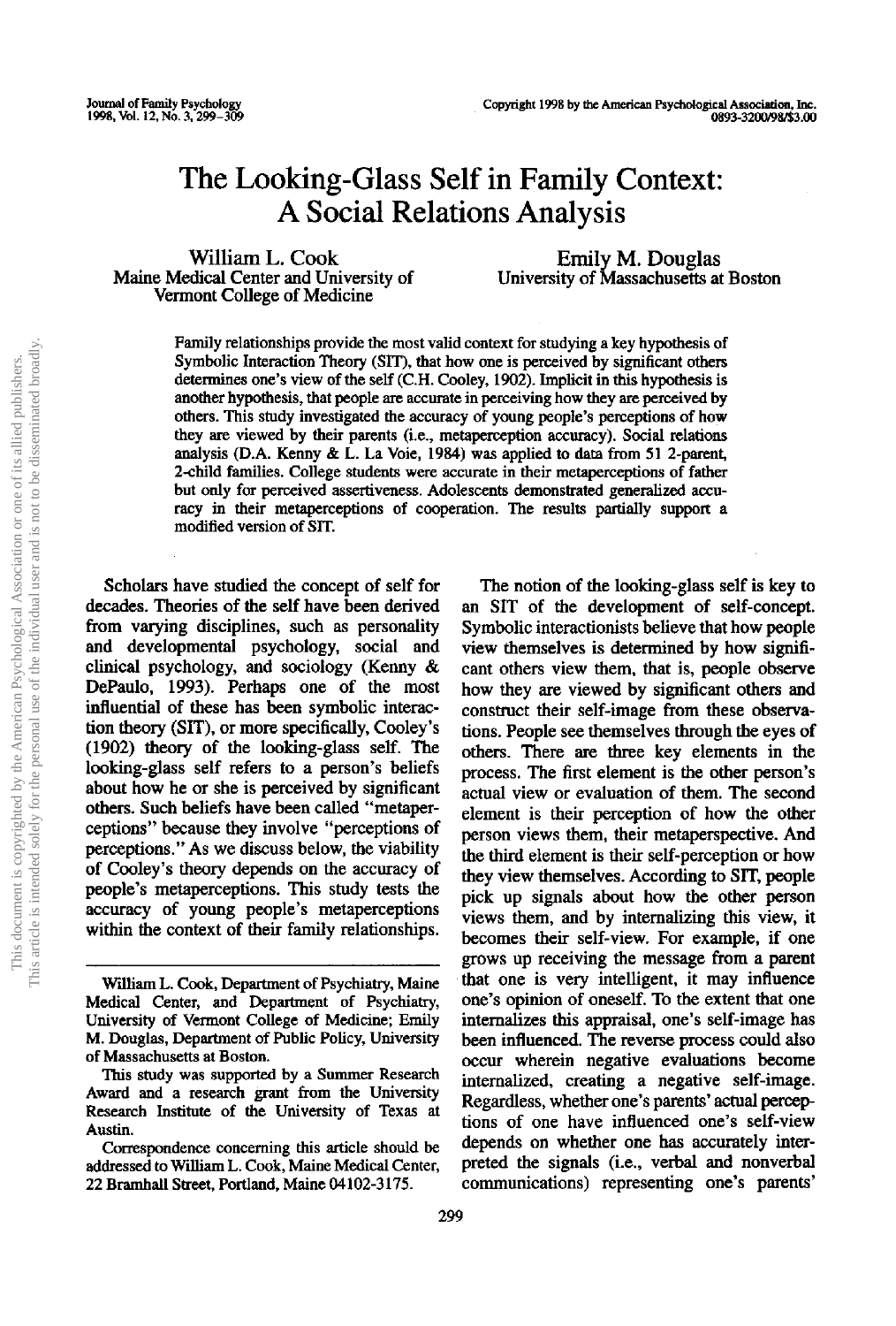# The Looking-Glass Self in Family Context: A Social Relations Analysis

William L. Cook Maine Medical Center and University of Vermont College of Medicine

Emily M. Douglas University of Massachusetts at Boston

Family relationships provide the most valid context for studying a key hypothesis of Symbolic Interaction Theory (SIT), that how one is perceived by significant others determines one's view of the self (C.H. Cooley, 1902). Implicit in this hypothesis is another hypothesis, that people are accurate in perceiving how they are perceived by others. This study investigated the accuracy of young people's perceptions of how they are viewed by their parents (i.e., metaperception accuracy). Social relations analysis (D.A. Kenny & L. La Voie, 1984) was applied to data from SI 2-parent, 2-child families. College students were accurate in their metaperceptions of father but only for perceived assertiveness. Adolescents demonstrated generalized accuracy in their metaperceptions of cooperation. The results partially support a modified version of SIT.

Scholars have studied the concept of self for decades. Theories of the self have been derived from varying disciplines, such as personality and developmental psychology, social and clinical psychology, and sociology (Kenny & DePaulo, 1993). Perhaps one of the most influential of these has been symbolic interaction theory (SIT), or more specifically, Cooley's (1902) theory of the looking-glass self. The looking-glass self refers to a person's beliefs about how he or she is perceived by significant others. Such beliefs have been called "metaperceptions" because they involve "perceptions of perceptions." As we discuss below, the viability of Cooley's theory depends on the accuracy of people's metaperceptions. This study tests the accuracy of young people's metaperceptions within the context of their family relationships.

The notion of the looking-glass self is key to an SIT of the development of self-concept. Symbolic interactionists believe that how people view themselves is determined by how significant others view them, that is, people observe how they are viewed by significant others and construct their self-image from these observations. People see themselves through the eyes of others. There are three key elements in the process. The first element is the other person's actual view or evaluation of them. The second element is their perception of how the other person views them, their metaperspective. And the third element is their self-perception or how they view themselves. According to SIT, people pick up signals about how the other person views them, and by internalizing this view, it becomes their self-view. For example, if one grows up receiving the message from a parent that one is very intelligent, it may influence one's opinion of oneself. To the extent that one internalizes this appraisal, one's self-image has been influenced. The reverse process could also occur wherein negative evaluations become internalized, creating a negative self-image. Regardless, whether one's parents' actual perceptions of one have influenced one's self-view depends on whether one has accurately interpreted the signals (i.e., verbal and nonverbal communications) representing one's parents'

William L. Cook, Department of Psychiatry, Maine Medical Center, and Department of Psychiatry, University of Vermont College of Medicine; Emily M. Douglas, Department of Public Policy, University of Massachusetts at Boston.

This study was supported by a Summer Research Award and a research grant from the University Research Institute of the University of Texas at Austin.

Correspondence concerning diis article should be addressed to William L. Cook, Maine Medical Center, 22 Bramhall Street, Portland, Maine 04102-3175.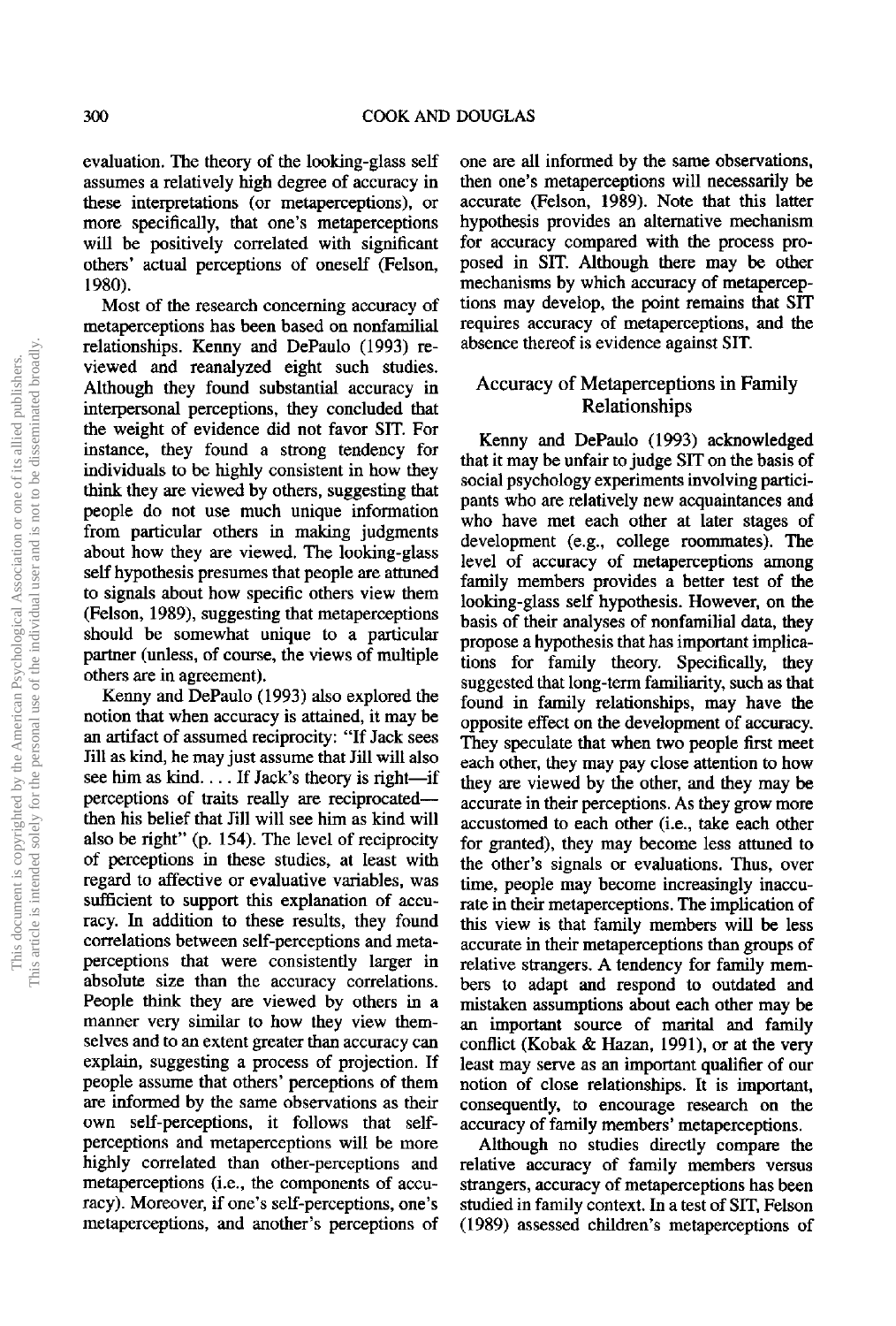evaluation. The theory of the looking-glass self assumes a relatively high degree of accuracy in these interpretations (or metaperceptions), or more specifically, that one's metaperceptions will be positively correlated with significant others\* actual perceptions of oneself (Felson, 1980).

Most of the research concerning accuracy of metaperceptions has been based on nonfamilial relationships. Kenny and DePaulo (1993) reviewed and reanalyzed eight such studies. Although they found substantial accuracy in interpersonal perceptions, they concluded that the weight of evidence did not favor SIT. For instance, they found a strong tendency for individuals to be highly consistent in how they think they are viewed by others, suggesting that people do not use much unique information from particular others in making judgments about how they are viewed. The looking-glass self hypothesis presumes that people are attuned to signals about how specific others view them (Felson, 1989), suggesting that metaperceptions should be somewhat unique to a particular partner (unless, of course, the views of multiple others are in agreement).

Kenny and DePaulo (1993) also explored the notion that when accuracy is attained, it may be an artifact of assumed reciprocity: "If Jack sees Jill as kind, he may just assume that Jill will also see him as kind.  $\ldots$  If Jack's theory is right—if perceptions of traits really are reciprocated then his belief that Jill will see him as kind will also be right" (p. 154). The level of reciprocity of perceptions in these studies, at least with regard to affective or evaluative variables, was sufficient to support this explanation of accuracy. In addition to these results, they found correlations between self-perceptions and metaperceptions that were consistently larger in absolute size than the accuracy correlations. People think they are viewed by others in a manner very similar to how they view themselves and to an extent greater than accuracy can explain, suggesting a process of projection. If people assume that others' perceptions of them are informed by the same observations as their own self-perceptions, it follows that selfperceptions and metaperceptions will be more highly correlated than other-perceptions and metaperceptions (i.e., the components of accuracy). Moreover, if one's self-perceptions, one's metaperceptions, and another's perceptions of

one are all informed by the same observations, then one's metaperceptions will necessarily be accurate (Felson, 1989). Note that this latter hypothesis provides an alternative mechanism for accuracy compared with the process proposed in SIT. Although there may be other mechanisms by which accuracy of metaperceptions may develop, the point remains that SIT requires accuracy of metaperceptions, and the absence thereof is evidence against SIT.

# Accuracy of Metaperceptions in Family Relationships

Kenny and DePaulo (1993) acknowledged that it may be unfair to judge SIT on the basis of social psychology experiments involving participants who are relatively new acquaintances and who have met each other at later stages of development (e.g., college roommates). The level of accuracy of metaperceptions among family members provides a better test of the looking-glass self hypothesis. However, on the basis of their analyses of nonfamilial data, they propose a hypothesis that has important implications for family theory. Specifically, they suggested that long-term familiarity, such as that found in family relationships, may have the opposite effect on the development of accuracy. They speculate that when two people first meet each other, they may pay close attention to how they are viewed by the other, and they may be accurate in their perceptions. As they grow more accustomed to each other (i.e., take each other for granted), they may become less attuned to the other's signals or evaluations. Thus, over time, people may become increasingly inaccurate in their metaperceptions. The implication of this view is that family members will be less accurate in their metaperceptions than groups of relative strangers. A tendency for family members to adapt and respond to outdated and mistaken assumptions about each other may be an important source of marital and family conflict (Kobak & Hazan, 1991), or at the very least may serve as an important qualifier of our notion of close relationships. It is important, consequently, to encourage research on the accuracy of family members' metaperceptions.

Although no studies directly compare the relative accuracy of family members versus strangers, accuracy of metaperceptions has been studied in family context. In a test of SIT, Felson (1989) assessed children's metaperceptions of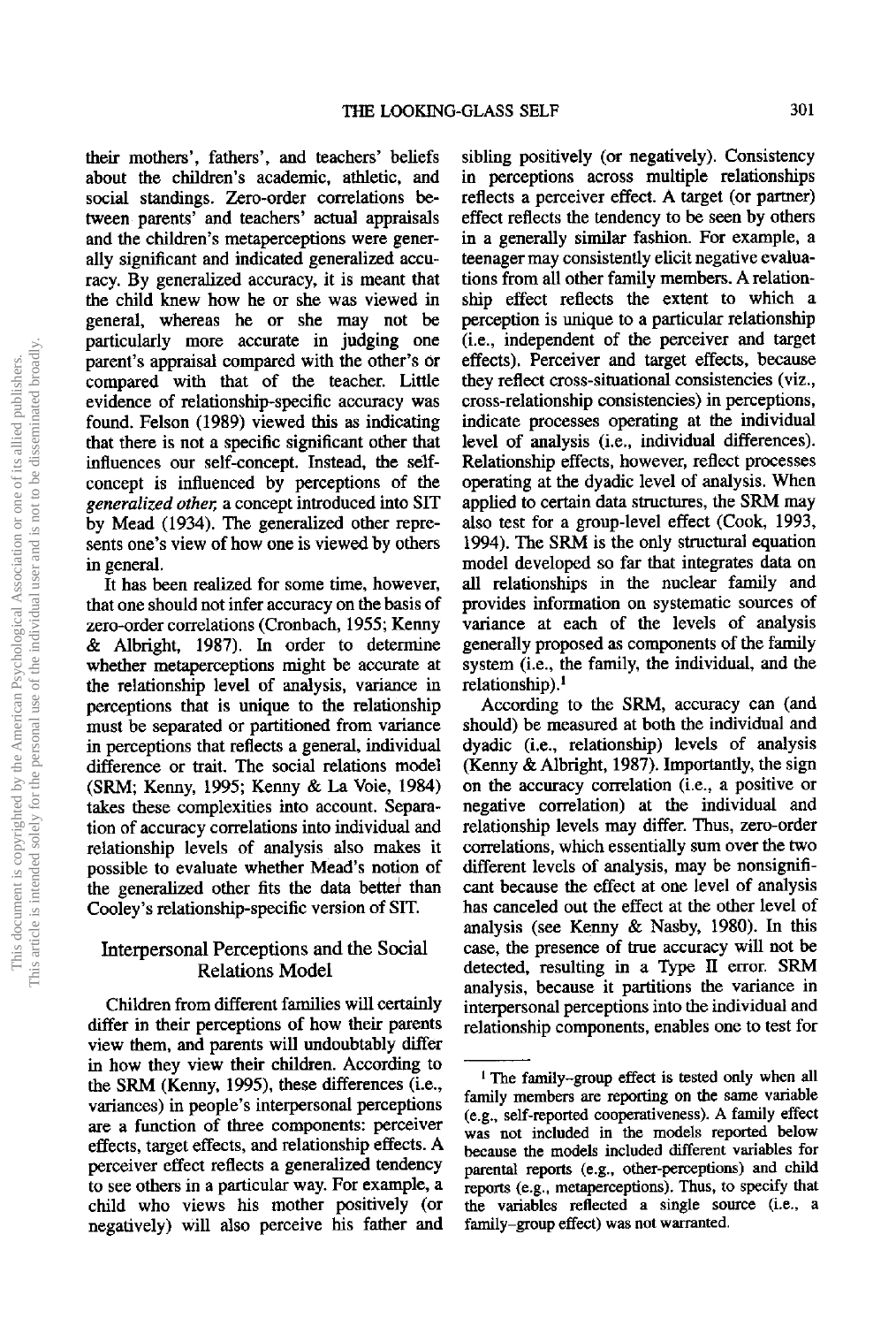their mothers', fathers', and teachers' beliefs about the children's academic, athletic, and social standings. Zero-order correlations between parents' and teachers' actual appraisals and the children's metaperceptions were generally significant and indicated generalized accuracy. By generalized accuracy, it is meant that the child knew how he or she was viewed in general, whereas he or she may not be particularly more accurate in judging one parent's appraisal compared with the other's or compared with that of the teacher. Little evidence of relationship-specific accuracy was found. Felson (1989) viewed this as indicating that there is not a specific significant other that influences our self-concept. Instead, the selfconcept is influenced by perceptions of the *generalized other,* a concept introduced into SIT by Mead (1934). The generalized other represents one's view of how one is viewed by others in general.

It has been realized for some time, however, that one should not infer accuracy on the basis of zero-order correlations (Cronbach, 1955; Kenny & Albright, 1987). In order to determine whether metaperceptions might be accurate at the relationship level of analysis, variance in perceptions that is unique to the relationship must be separated or partitioned from variance in perceptions that reflects a general, individual difference or trait. The social relations model (SRM; Kenny, 1995; Kenny & La Voie, 1984) takes these complexities into account. Separation of accuracy correlations into individual and relationship levels of analysis also makes it possible to evaluate whether Mead's notion of the generalized other fits the data better than Cooley's relationship-specific version of SIT.

# Interpersonal Perceptions and the Social Relations Model

Children from different families will certainly differ in their perceptions of how their parents view them, and parents will undoubtably differ in how they view their children. According to the SRM (Kenny, 1995), these differences (i.e., variances) in people's interpersonal perceptions are a function of three components: perceiver effects, target effects, and relationship effects. A perceiver effect reflects a generalized tendency to see others in a particular way. For example, a child who views his mother positively (or negatively) will also perceive his father and sibling positively (or negatively). Consistency in perceptions across multiple relationships reflects a perceiver effect. A target (or partner) effect reflects the tendency to be seen by others in a generally similar fashion. For example, a teenager may consistently elicit negative evaluations from all other family members. A relationship effect reflects the extent to which a perception is unique to a particular relationship (i.e., independent of the perceiver and target effects). Perceiver and target effects, because they reflect cross-situational consistencies (viz., cross-relationship consistencies) in perceptions, indicate processes operating at the individual level of analysis (i.e., individual differences). Relationship effects, however, reflect processes operating at the dyadic level of analysis. When applied to certain data structures, the SRM may also test for a group-level effect (Cook, 1993, 1994). The SRM is the only structural equation model developed so far that integrates data on all relationships in the nuclear family and provides information on systematic sources of variance at each of the levels of analysis generally proposed as components of the family generally proposed as components of the family system (1.e., t.<br>relationship).1

According to the SRM, accuracy can (and should) be measured at both the individual and dyadic (i.e., relationship) levels of analysis (Kenny & Albright, 1987). Importantly, the sign on the accuracy correlation (i.e., a positive or negative correlation) at the individual and relationship levels may differ. Thus, zero-order correlations, which essentially sum over the two different levels of analysis, may be nonsignificant because the effect at one level of analysis has canceled out the effect at the other level of analysis (see Kenny & Nasby, 1980). In this case, the presence of true accuracy will not be detected, resulting in a Type II error. SRM analysis, because it partitions the variance in interpersonal perceptions into the individual and relationship components, enables one to test for

<sup>&</sup>lt;sup>1</sup> The family-group effect is tested only when all family members are reporting on the same variable (e.g., self-reported cooperativeness). A family effect was not included in the models reported below because the models included different variables for parental reports (e.g., other-perceptions) and child reports (e.g., metaperceptions). Thus, to specify that the variables reflected a single source (i.e., a family-group effect) was not warranted.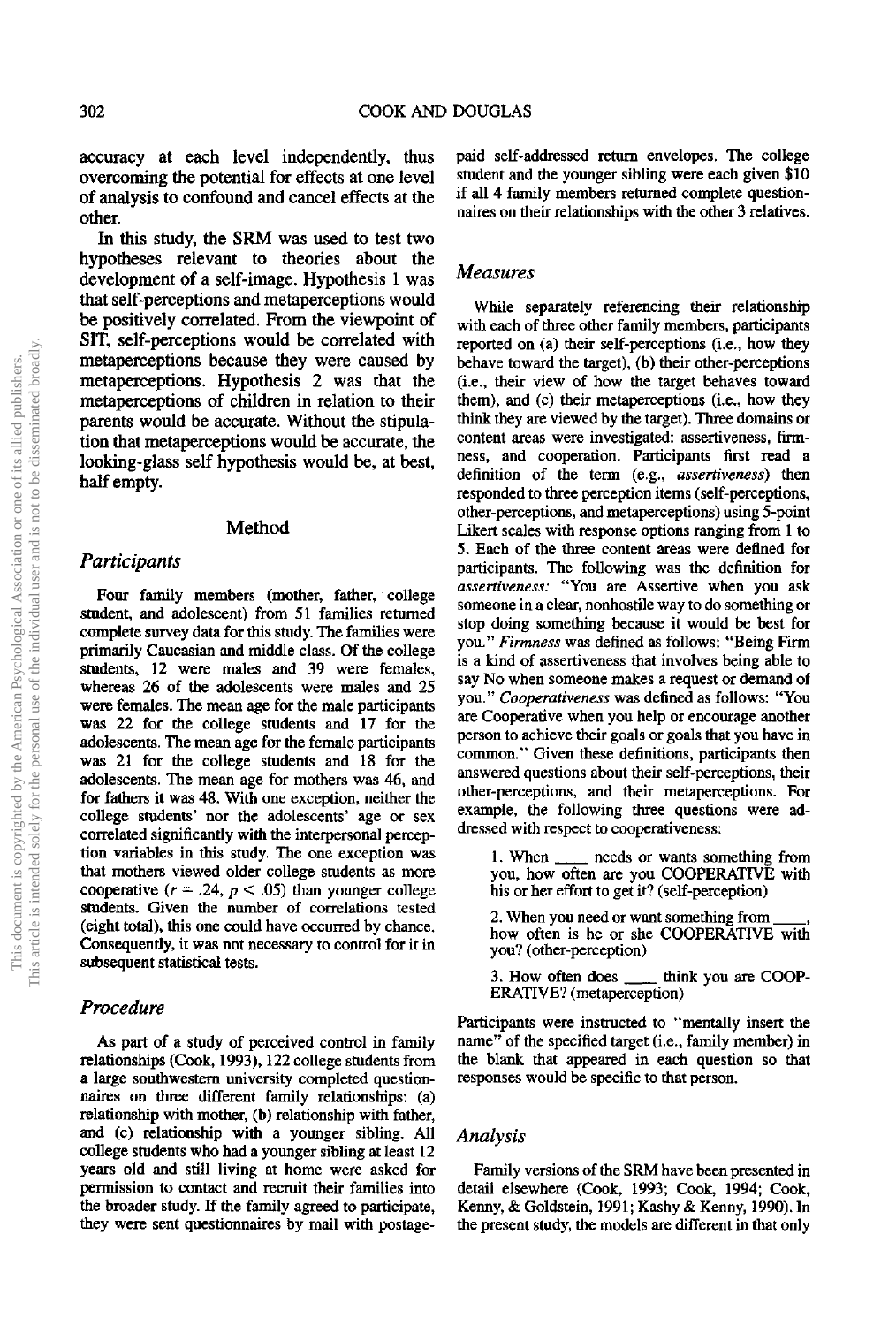accuracy at each level independently, thus overcoming the potential for effects at one level of analysis to confound and cancel effects at the other.

In this study, the SRM was used to test two hypotheses relevant to theories about the development of a self-image. Hypothesis 1 was that self-perceptions and metaperceptions would be positively correlated. From the viewpoint of SIT, self-perceptions would be correlated with metaperceptions because they were caused by metaperceptions. Hypothesis 2 was that the metaperceptions of children in relation to their parents would be accurate. Without the stipulation that metaperceptions would be accurate, the looking-glass self hypothesis would be, at best, half empty.

#### Method

### *Participants*

Four family members (mother, father, college student, and adolescent) from 51 families returned complete survey data for this study. The families were primarily Caucasian and middle class. Of the college students, 12 were males and 39 were females, whereas 26 of the adolescents were males and 25 were females. The mean age for the male participants was 22 for the college students and 17 for the adolescents. The mean age for the female participants was 21 for the college students and 18 for the adolescents. The mean age for mothers was 46, and for fathers it was 48. With one exception, neither the college students' nor the adolescents' age or sex correlated significantly with the interpersonal perception variables in this study. The one exception was that mothers viewed older college students as more cooperative  $(r = .24, p < .05)$  than younger college students. Given the number of correlations tested (eight total), this one could have occurred by chance. Consequently, it was not necessary to control for it in subsequent statistical tests.

### *Procedure*

As part of a study of perceived control in family relationships (Cook, 1993), 122 college students from a large southwestern university completed questionnaires on three different family relationships: (a) relationship with mother, (b) relationship with father, and (c) relationship with a younger sibling. All college students who had a younger sibling at least 12 years old and still living at home were asked for permission to contact and recruit their families into the broader study. If the family agreed to participate, they were sent questionnaires by mail with postagepaid self-addressed return envelopes. The college student and the younger sibling were each given \$10 if all 4 family members returned complete questionnaires on their relationships with the other 3 relatives.

### *Measures*

While separately referencing their relationship with each of three other family members, participants reported on (a) their self-perceptions (i.e., how they behave toward the target), (b) their other-perceptions (i.e., their view of how the target behaves toward them), and (c) their metaperceptions (i.e., how they think they are viewed by the target). Three domains or content areas were investigated: assertiveness, firmness, and cooperation. Participants first read a definition of the term (e.g., *assertiveness)* then responded to three perception items (self-perceptions, other-perceptions, and metaperceptions) using 5-point Likert scales with response options ranging from 1 to 5. Each of the three content areas were defined for participants. The following was the definition for *assertiveness:* "You are Assertive when you ask someone in a clear, nonhostile way to do something or stop doing something because it would be best for you." *Firmness* was defined as follows: "Being Firm is a kind of assertiveness that involves being able to say No when someone makes a request or demand of you." *Cooperativeness* was defined as follows: "You are Cooperative when you help or encourage another person to achieve their goals or goals that you have in common." Given these definitions, participants then answered questions about their self-perceptions, their other-perceptions, and their metaperceptions. For example, the following three questions were addressed with respect to cooperativeness:

1. When needs or wants something from you, how often are you COOPERATIVE with his or her effort to get it? (self-perception)

2. When you need or want something from , how often is he or she COOPERATIVE with you? (other-perception)

3. How often does \_\_\_\_\_ think you are COOP-ERATIVE? (metaperception)

Participants were instructed to "mentally insert the name" of the specified target (i.e., family member) in the blank that appeared in each question so that responses would be specific to that person.

# *Analysis*

Family versions of the SRM have been presented in detail elsewhere (Cook, 1993; Cook, 1994; Cook, Kenny, & Goldstein, 1991; Kashy & Kenny, 1990). In the present study, the models are different in that only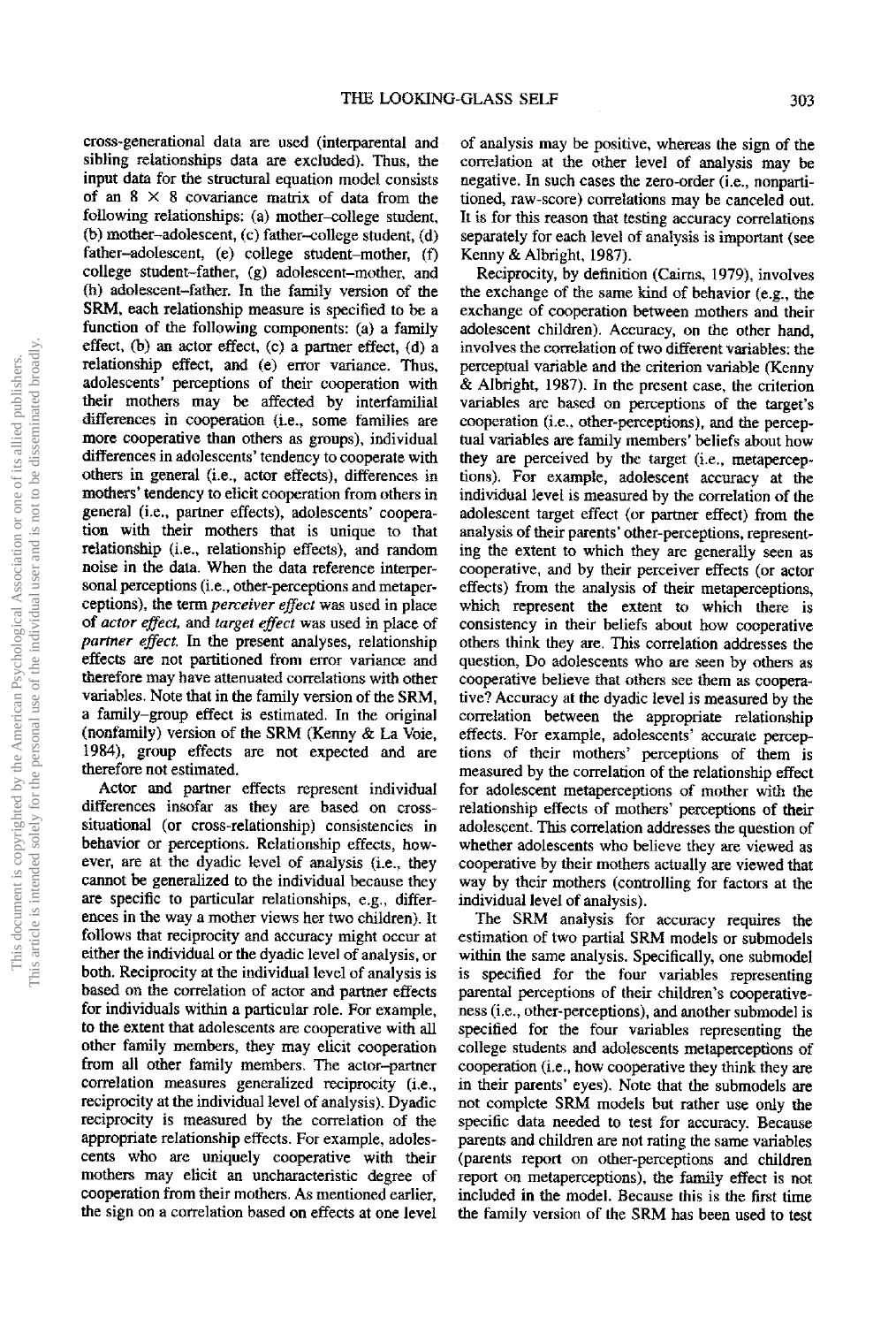cross-generational data are used (interparental and sibling relationships data are excluded). Thus, the input data for the structural equation model consists of an  $8 \times 8$  covariance matrix of data from the following relationships: (a) mother-college student, (b) mother-adolescent, (c) father-college student, (d) father-adolescent, (e) college student-mother, (f) college student-father, (g) adolescent-mother, and (h) adolescent-father. In the family version of the SRM, each relationship measure is specified to be a function of the following components: (a) a family effect, (b) an actor effect, (c) a partner effect, (d) a relationship effect, and (e) error variance. Thus, adolescents' perceptions of their cooperation with their mothers may be affected by interfamilial differences in cooperation (i.e., some families are more cooperative than others as groups), individual differences in adolescents' tendency to cooperate with others in general (i.e., actor effects), differences in mothers' tendency to elicit cooperation from others in general (i.e., partner effects), adolescents' cooperation with their mothers that is unique to that relationship (i.e., relationship effects), and random noise in the data. When the data reference interpersonal perceptions (i.e., other-perceptions and metaperceptions), the term *perceiver effect* was used in place of *actor effect,* and *target effect* was used in place of *partner effect.* In the present analyses, relationship effects are not partitioned from error variance and therefore may have attenuated correlations with other variables. Note that in the family version of the SRM, a family-group effect is estimated. In the original (nonfamily) version of the SRM (Kenny & La Voie, 1984), group effects are not expected and are therefore not estimated.

Actor and partner effects represent individual differences insofar as they are based on crosssituational (or cross-relationship) consistencies in behavior or perceptions. Relationship effects, however, are at the dyadic level of analysis (i.e., they cannot be generalized to the individual because they are specific to particular relationships, e.g., differences in the way a mother views her two children). It follows that reciprocity and accuracy might occur at either the individual or the dyadic level of analysis, or both. Reciprocity at the individual level of analysis is based on the correlation of actor and partner effects for individuals within a particular role. For example, to the extent that adolescents are cooperative with all other family members, they may elicit cooperation from all other family members. The actor-partner correlation measures generalized reciprocity (i.e., reciprocity at the individual level of analysis). Dyadic reciprocity is measured by the correlation of the appropriate relationship effects. For example, adolescents who are uniquely cooperative with their mothers may elicit an uncharacteristic degree of cooperation from their mothers. As mentioned earlier, the sign on a correlation based on effects at one level

of analysis may be positive, whereas the sign of the correlation at the other level of analysis may be negative. In such cases the zero-order (i.e., nonpartitioned, raw-score) correlations may be canceled out. It is for this reason that testing accuracy correlations separately for each level of analysis is important (see Kenny & Albright, 1987).

Reciprocity, by definition (Cairns, 1979), involves the exchange of the same kind of behavior (e.g., the exchange of cooperation between mothers and their adolescent children). Accuracy, on the other hand, involves the correlation of two different variables: the perceptual variable and the criterion variable (Kenny *&* Albright, 1987). In the present case, the criterion variables are based on perceptions of the target's cooperation (i.e., other-perceptions), and the perceptual variables are family members' beliefs about how they are perceived by the target (i.e., metaperceptions). For example, adolescent accuracy at the individual level is measured by the correlation of the adolescent target effect (or partner effect) from the analysis of their parents' other-perceptions, representing the extent to which they are generally seen as cooperative, and by their perceiver effects (or actor effects) from the analysis of their metaperceptions, which represent the extent to which there is consistency in their beliefs about how cooperative others think they are. This correlation addresses the question, Do adolescents who are seen by others as cooperative believe that others see them as cooperative? Accuracy at the dyadic level is measured by the correlation between the appropriate relationship effects. For example, adolescents' accurate perceptions of their mothers' perceptions of them is measured by the correlation of the relationship effect for adolescent metaperceptions of mother with the relationship effects of mothers' perceptions of their adolescent. This correlation addresses the question of whether adolescents who believe they are viewed as cooperative by their mothers actually are viewed that way by their mothers (controlling for factors at the individual level of analysis).

The SRM analysis for accuracy requires the estimation of two partial SRM models or submodels within the same analysis. Specifically, one submodel is specified for the four variables representing parental perceptions of their children's cooperativeness (i.e., other-perceptions), and another submodel is specified for the four variables representing the college students and adolescents metaperceptions of cooperation (i.e., how cooperative they think they are in their parents' eyes). Note that the submodels are not complete SRM models but rather use only the specific data needed to test for accuracy. Because parents and children are not rating the same variables (parents report on other-perceptions and children report on metaperceptions), the family effect is not included in the model. Because this is the first time the family version of the SRM has been used to test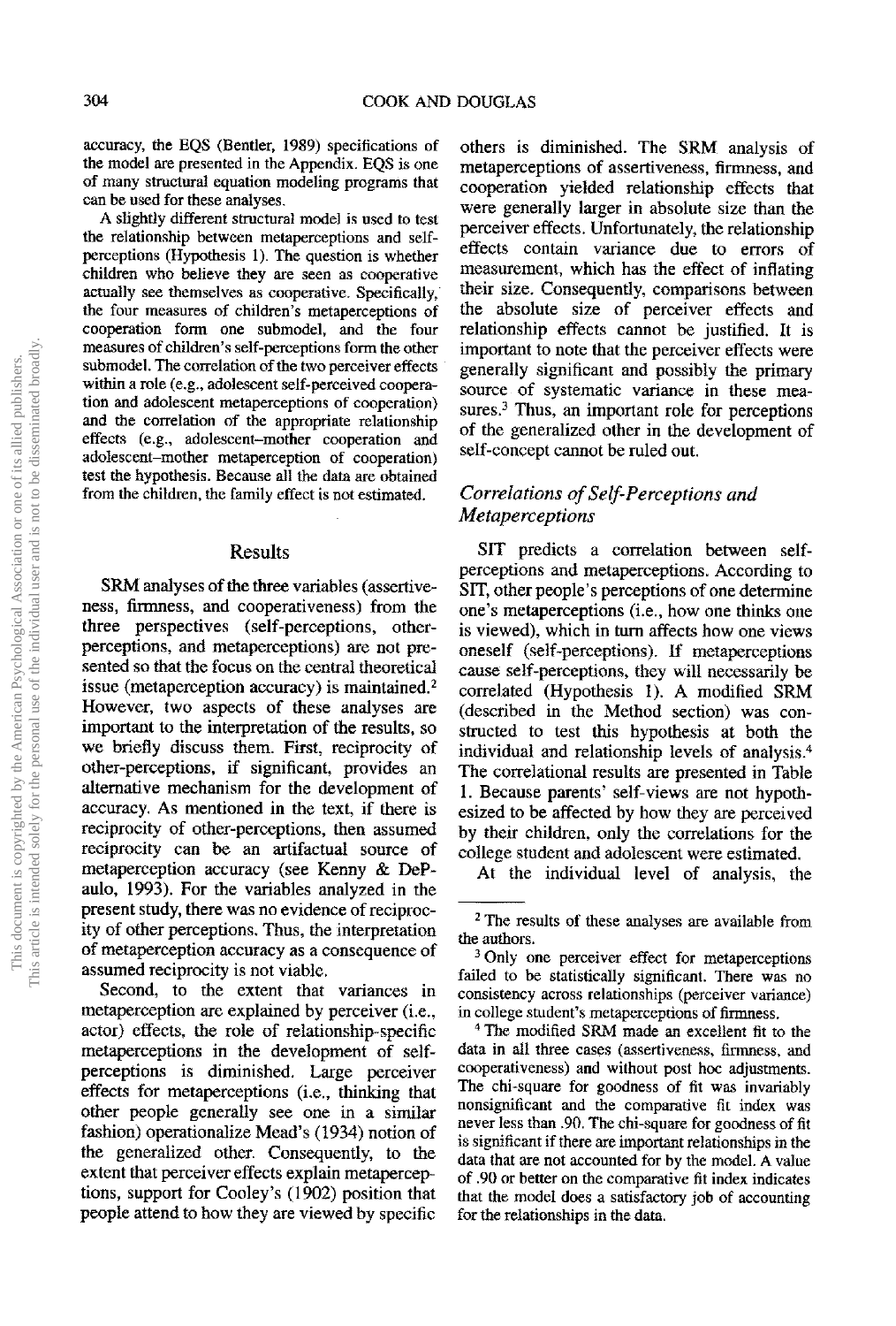accuracy, the EQS (Bentler, 1989) specifications of the model are presented in the Appendix. EQS is one of many structural equation modeling programs that can be used for these analyses.

A slightly different structural model is used to test the relationship between metaperceptions and selfperceptions (Hypothesis 1). The question is whether children who believe they are seen as cooperative actually see themselves as cooperative. Specifically, the four measures of children's metaperceptions of cooperation form one submodel, and the four measures of children's self-perceptions form the other submodel. The correlation of the two perceiver effects within a role (e.g., adolescent self-perceived cooperation and adolescent metaperceptions of cooperation) and the correlation of the appropriate relationship effects (e.g., adolescent-mother cooperation and adolescent-mother metaperception of cooperation) test the hypothesis. Because all the data are obtained from the children, the family effect is not estimated.

### Results

SRM analyses of the three variables (assertiveness, firmness, and cooperativeness) from the three perspectives (self-perceptions, otherperceptions, and metaperceptions) are not presented so that the focus on the central theoretical issue (metaperception accuracy) is maintained.<sup>2</sup> However, two aspects of these analyses are important to the interpretation of the results, so we briefly discuss them. First, reciprocity of other-perceptions, if significant, provides an alternative mechanism for the development of accuracy. As mentioned in the text, if there is reciprocity of other-perceptions, then assumed reciprocity can be an artifactual source of metaperception accuracy (see Kenny & DePaulo, 1993). For the variables analyzed in the present study, there was no evidence of reciprocity of other perceptions. Thus, the interpretation of metaperception accuracy as a consequence of assumed reciprocity is not viable.

Second, to the extent that variances in metaperception are explained by perceiver (i.e., actor) effects, the role of relationship-specific metaperceptions in the development of selfperceptions is diminished. Large perceiver effects for metaperceptions (i.e., thinking that other people generally see one in a similar fashion) operationalize Mead's (1934) notion of the generalized other. Consequently, to the extent that perceiver effects explain metaperceptions, support for Cooley's (1902) position that people attend to how they are viewed by specific

others is diminished. The SRM analysis of metaperceptions of assertiveness, firmness, and cooperation yielded relationship effects that were generally larger in absolute size than the perceiver effects. Unfortunately, the relationship effects contain variance due to errors of measurement, which has the effect of inflating their size. Consequently, comparisons between the absolute size of perceiver effects and relationship effects cannot be justified. It is important to note that the perceiver effects were generally significant and possibly the primary source of systematic variance in these measures.<sup>3</sup> Thus, an important role for perceptions of the generalized other in the development of self-concept cannot be ruled out.

# *Correlations of Self-Perceptions and Metaperceptions*

SIT predicts a correlation between selfperceptions and metaperceptions. According to SIT, other people's perceptions of one determine one's metaperceptions (i.e., how one thinks one is viewed), which in turn affects how one views oneself (self-perceptions). If metaperceptions cause self-perceptions, they will necessarily be correlated (Hypothesis 1). A modified SRM (described in the Method section) was constructed to test this hypothesis at both the individual and relationship levels of analysis.<sup>4</sup> The correlational results are presented in Table 1. Because parents' self-views are not hypothesized to be affected by how they are perceived by their children, only the correlations for the college student and adolescent were estimated.

At the individual level of analysis, the

4 The modified SRM made an excellent fit to the data in all three cases (assertiveness, firmness, and cooperativeness) and without post hoc adjustments. The chi-square for goodness of fit was invariably nonsignificant and the comparative fit index was never less than .90. The chi-square for goodness of fit is significant if there are important relationships in the data that are not accounted for by the model. A value of .90 or better on the comparative fit index indicates that the model does a satisfactory job of accounting for the relationships in the data.

<sup>&</sup>lt;sup>2</sup> The results of these analyses are available from the authors.

<sup>&</sup>lt;sup>3</sup> Only one perceiver effect for metaperceptions failed to be statistically significant. There was no consistency across relationships (perceiver variance) in college student's metaperceptions of firmness.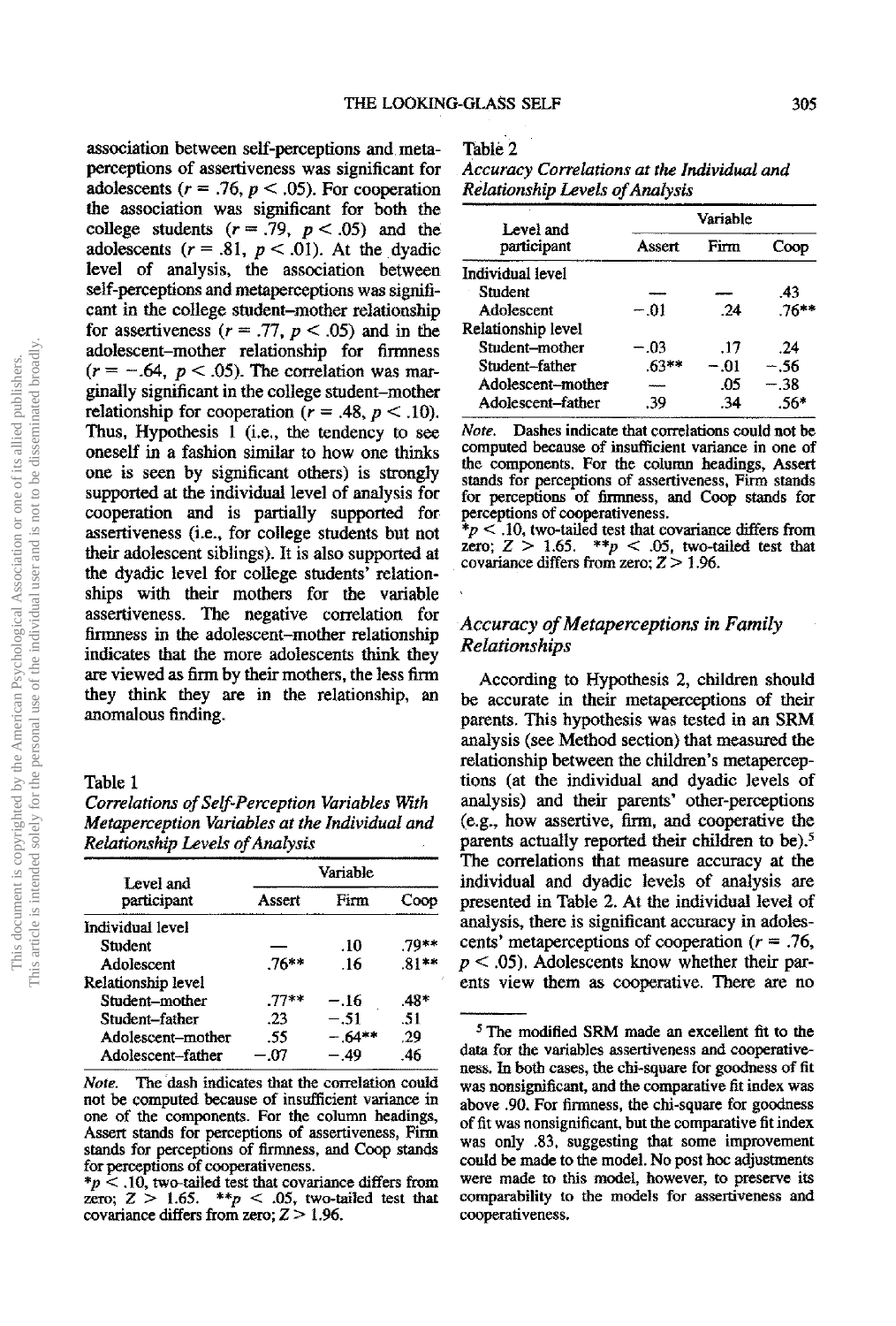association between self-perceptions and metaperceptions of assertiveness was significant for adolescents ( $r = .76$ ,  $p < .05$ ). For cooperation the association was significant for both the college students  $(r = .79, p < .05)$  and the adolescents  $(r = .81, p < .01)$ . At the dyadic level of analysis, the association between self-perceptions and metaperceptions was significant in the college student-mother relationship for assertiveness  $(r = .77, p < .05)$  and in the adolescent-mother relationship for firmness  $(r = -.64, p < .05)$ . The correlation was marginally significant in the college student-mother relationship for cooperation  $(r = .48, p < .10)$ . Thus, Hypothesis 1 (i.e., the tendency to see oneself in a fashion similar to how one thinks one is seen by significant others) is strongly supported at the individual level of analysis for cooperation and is partially supported for assertiveness (i.e., for college students but not their adolescent siblings). It is also supported at the dyadic level for college students' relationships with their mothers for the variable assertiveness. The negative correlation for firmness in the adolescent-mother relationship indicates that the more adolescents think they are viewed as firm by their mothers, the less firm they think they are in the relationship, an anomalous finding.

#### Table 1

*Correlations of Self-Perception Variables With Metaperception Variables at the Individual and Relationship Levels of Analysis*

| Level and<br>participant | Variable |        |         |  |
|--------------------------|----------|--------|---------|--|
|                          | Assert   | Firm   | Coop    |  |
| Individual level         |          |        |         |  |
| Student                  |          | .10    | .79**   |  |
| Adolescent               | .76**    | .16    | $.81**$ |  |
| Relationship level       |          |        |         |  |
| Student-mother           | $.77***$ | - 16   | .48*    |  |
| Student-father           | .23      | $-.51$ | .51     |  |
| Adolescent-mother        | .55      | - 64** | .29     |  |
| Adolescent-father        | .07      | - 49   | .46     |  |

*Note.* The dash indicates that the correlation could not be computed because of insufficient variance in one of the components. For the column headings, Assert stands for perceptions of assertiveness. Firm stands for perceptions of firmness, and Coop stands for perceptions of cooperativeness.

*\*p <* .10, two-tailed test that covariance differs from zero;  $Z > 1.65$ . \*\*p < .05, two-tailed test that covariance differs from zero; *Z >* 1.96.

#### Table 2

| Accuracy Correlations at the Individual and |  |  |
|---------------------------------------------|--|--|
| Relationship Levels of Analysis             |  |  |

| Level and          |        | Variable |      |
|--------------------|--------|----------|------|
| participant        | Assert | Firm     | Coop |
| Individual level   |        |          |      |
| Student            |        |          | .43  |
| Adolescent         | – വ    | -24      | 76** |
| Relationship level |        |          |      |
| Student-mother     | $-.03$ | .17      | .24  |
| Student-father     | .63**  | $-.01$   | - 56 |
| Adolescent-mother  |        | .05      | - 38 |
| Adolescent-father  | .39    | -34      |      |

*Note.* Dashes indicate that correlations could not be computed because of insufficient variance in one of the components. For die column headings. Assert stands for perceptions of assertiveness, Firm stands for perceptions of firmness, and Coop stands for perceptions of cooperativeness.

*\*p <* .10, two-tailed test that covariance differs from zero;  $Z > 1.65$ . \*\*p < .05, two-tailed test that covariance differs from zero;  $Z > 1.96$ .

# *Accuracy of Metaperceptions in Family Relationships*

According to Hypothesis 2, children should be accurate in their metaperceptions of their parents. This hypothesis was tested in an SRM analysis (see Method section) that measured the relationship between the children's metaperceptions (at the individual and dyadic levels of analysis) and their parents' other-perceptions (e.g., how assertive, firm, and cooperative the parents actually reported their children to be).<sup>5</sup> The correlations that measure accuracy at the individual and dyadic levels of analysis are presented in Table 2. At the individual level of analysis, there is significant accuracy in adolescents' metaperceptions of cooperation  $(r = .76,$ *p <* .05). Adolescents know whether their parents view them as cooperative. There are no

<sup>5</sup> The modified SRM made an excellent fit to the data for the variables assertiveness and cooperativeness. In both cases, the chi-square for goodness of fit was nonsignificant, and the comparative fit index was above .90. For firmness, the chi-square for goodness of fit was nonsignificant, but the comparative fit index was only .83, suggesting that some improvement could be made to the model. No post hoc adjustments were made to this model, however, to preserve its comparability io the models for assertiveness and cooperativeness.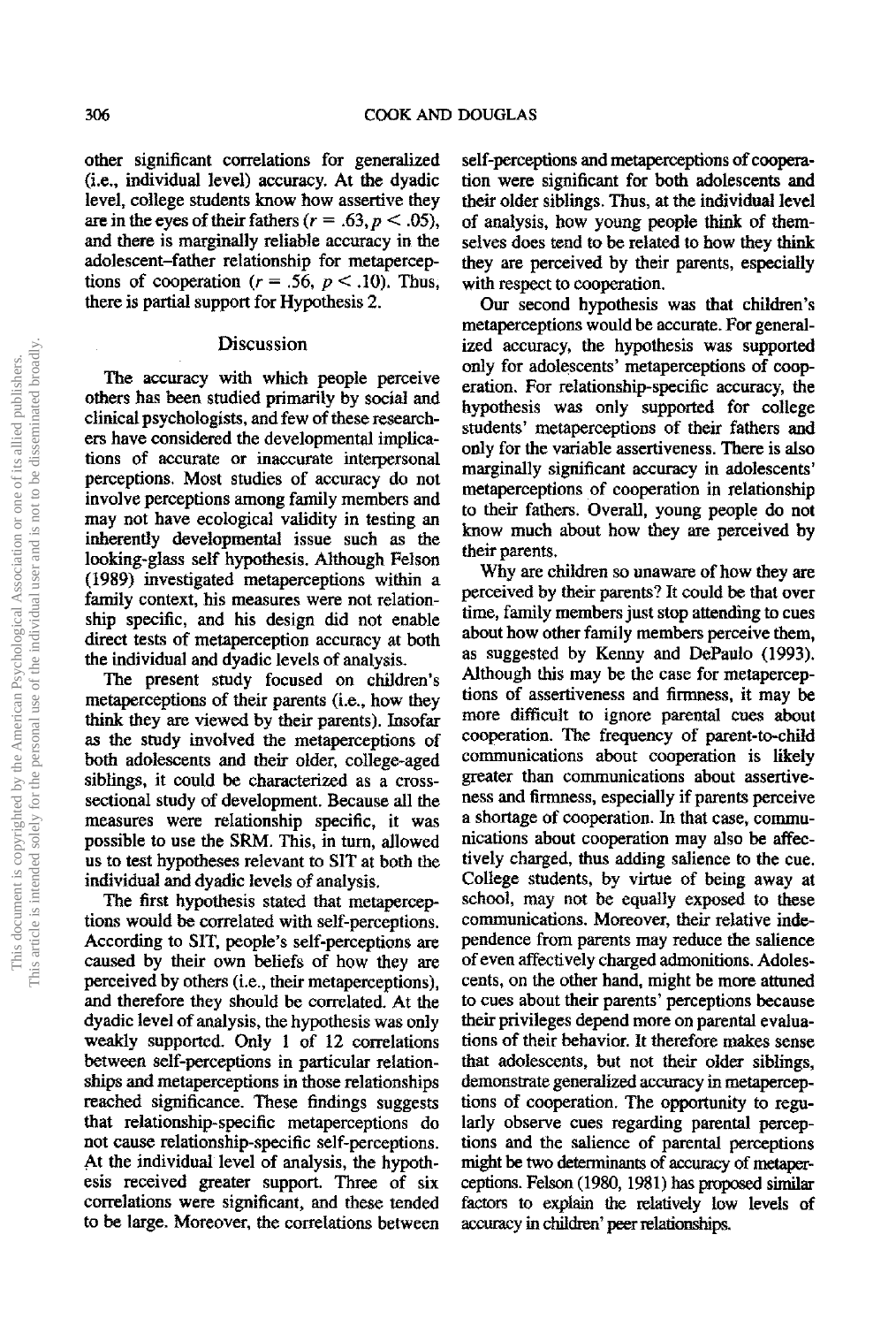other significant correlations for generalized (i.e., individual level) accuracy. At the dyadic level, college students know how assertive they are in the eyes of their fathers  $(r = .63, p < .05)$ , and there is marginally reliable accuracy in the adolescent-father relationship for metaperceptions of cooperation ( $r = .56$ ,  $p < .10$ ). Thus, there is partial support for Hypothesis 2.

#### Discussion

The accuracy with which people perceive others has been studied primarily by social and clinical psychologists, and few of these researchers have considered the developmental implications of accurate or inaccurate interpersonal perceptions. Most studies of accuracy do not involve perceptions among family members and may not have ecological validity in testing an inherently developmental issue such as the looking-glass self hypothesis. Although Felson (1989) investigated metaperceptions within a family context, his measures were not relationship specific, and his design did not enable direct tests of metaperception accuracy at both the individual and dyadic levels of analysis.

The present study focused on children's metaperceptions of their parents (i.e., how they think they are viewed by their parents). Insofar as the study involved the metaperceptions of both adolescents and their older, college-aged siblings, it could be characterized as a crosssectional study of development. Because all the measures were relationship specific, it was possible to use the SRM. This, in turn, allowed us to test hypotheses relevant to SIT at both the individual and dyadic levels of analysis.

The first hypothesis stated that metaperceptions would be correlated with self-perceptions. According to SIT, people's self-perceptions are caused by their own beliefs of how they are perceived by others (i.e., their metaperceptions), and therefore they should be correlated. At the dyadic level of analysis, the hypothesis was only weakly supported. Only 1 of 12 correlations between self-perceptions in particular relationships and metaperceptions in those relationships reached significance. These findings suggests that relationship-specific metaperceptions do not cause relationship-specific self-perceptions. At the individual level of analysis, the hypothesis received greater support. Three of six correlations were significant, and these tended to be large. Moreover, the correlations between

self-perceptions and metaperceptions of cooperation were significant for both adolescents and their older siblings. Thus, at the individual level of analysis, how young people think of themselves does tend to be related to how they think they are perceived by their parents, especially with respect to cooperation.

Our second hypothesis was that children's metaperceptions would be accurate. For generalized accuracy, the hypothesis was supported only for adolescents' metaperceptions of cooperation. For relationship-specific accuracy, the hypothesis was only supported for college students' metaperceptions of their fathers and only for the variable assertiveness. There is also marginally significant accuracy in adolescents' metaperceptions of cooperation in relationship to their fathers. Overall, young people do not know much about how they are perceived by their parents.

Why are children so unaware of how they are perceived by their parents? It could be that over time, family members just stop attending to cues about how other family members perceive them, as suggested by Kenny and DePaulo (1993). Although this may be the case for metaperceptions of assertiveness and firmness, it may be more difficult to ignore parental cues about cooperation. The frequency of parent-to-child communications about cooperation is likely greater than communications about assertiveness and firmness, especially if parents perceive a shortage of cooperation. In that case, communications about cooperation may also be affectively charged, thus adding salience to the cue. College students, by virtue of being away at school, may not be equally exposed to these communications. Moreover, their relative independence from parents may reduce the salience of even affectively charged admonitions. Adolescents, on the other hand, might be more attuned to cues about their parents' perceptions because their privileges depend more on parental evaluations of their behavior. It therefore makes sense mat adolescents, but not their older siblings, demonstrate generalized accuracy in metaperceptions of cooperation. The opportunity to regutions of cooperation. The opportunity to regularly observe cues regarding parental perceptions and the salience of parental perceptions might be two determinants of accuracy of metaperceptions. Felson  $(1980, 1981)$  has proposed similar factors to explain the relatively low levels of accuracy in children' peer relationships.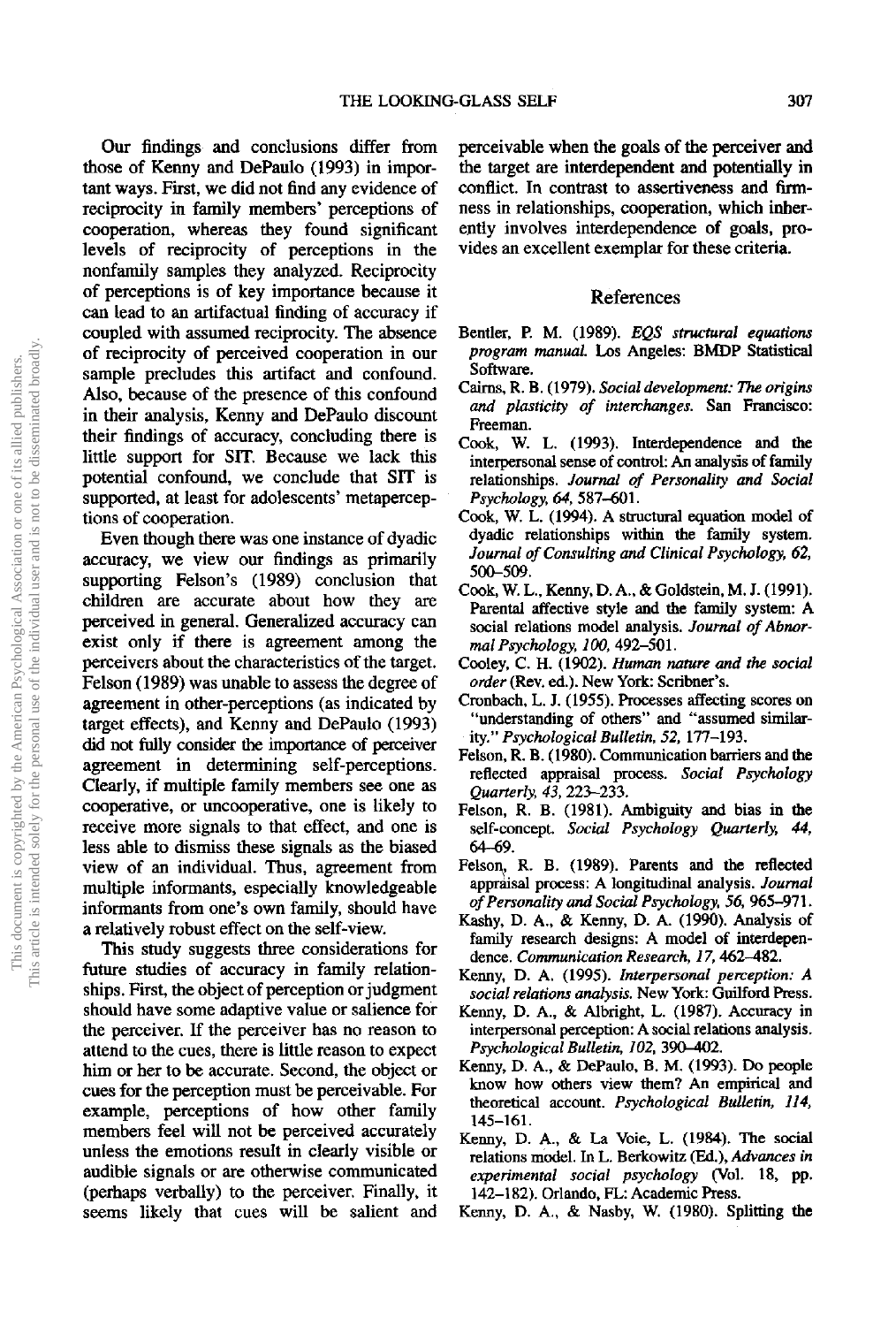Our findings and conclusions differ from those of Kenny and DePaulo (1993) in important ways. First, we did not find any evidence of reciprocity in family members' perceptions of cooperation, whereas they found significant levels of reciprocity of perceptions in the nonfamily samples they analyzed. Reciprocity of perceptions is of key importance because it can lead to an artifactual finding of accuracy if coupled with assumed reciprocity. The absence of reciprocity of perceived cooperation in our sample precludes this artifact and confound. Also, because of the presence of this confound in their analysis, Kenny and DePaulo discount their findings of accuracy, concluding there is little support for SIT. Because we lack this potential confound, we conclude that SIT is portential computing, we conclude that SIT is supported, at ieast it

Even though there was one instance of dyadic accuracy, we view our findings as primarily supporting Felson's (1989) conclusion that children are accurate about how they are perceived in general. Generalized accuracy can exist only if there is agreement among the perceivers about the characteristics of the target. Felson (1989) was unable to assess the degree of agreement in other-perceptions (as indicated by target effects), and Kenny and DePaulo (1993) did not fully consider the importance of perceiver agreement in determining self-perceptions. Clearly, if multiple family members see one as cooperative, or uncooperative, one is likely to receive more signals to that effect, and one is less able to dismiss these signals as the biased view of an individual. Thus, agreement from multiple informants, especially knowledgeable informants from one's own family, should have a relatively robust effect on the self-view.

This study suggests three considerations for future studies of accuracy in family relationships. First, the object of perception or judgment should have some adaptive value or salience for the perceiver. If the perceiver has no reason to attend to the cues, there is little reason to expect him or her to be accurate. Second, the object or cues for the perception must be perceivable. For example, perceptions of how other family members feel will not be perceived accurately unless the emotions result in clearly visible or audible signals or are otherwise communicated (perhaps verbally) to the perceiver. Finally, it seems likely that cues will be salient and

perceivable when the goals of the perceiver **and** the target are interdependent and potentially in conflict. In contrast to assertiveness and firmness in relationships, cooperation, which inherently involves interdependence of goals, provides an excellent exemplar for these criteria.

## References

- Bentler, P. M. (1989). *EQS structural equations program manual* Los Angeles: BMDP Statistical Software.
- Cairns, R. B. (1979). *Social development: The origins and plasticity of interchanges.* San Francisco: Freeman.
- Cook, W. L. (1993). Interdependence and the interpersonal sense of control: An analysis of family relationships. *Journal of Personality and Social Psychology, 64,* 587-601.
- Cook, W. L. (1994). A structural equation model of dyadic relationships within the family system. *Journal of Consulting and Clinical Psychology, 62,* 500-509.
- Cook, W. L., Kenny, D. A., & Goldstein, M. J. (1991). Parental affective style and the family system: A social relations model analysis. *Journal of Abnormal Psychology, 100,* 492-501.
- Cooley, C. H. (1902). *Human nature and the social order* (Rev. ed.). New York: Scribner's.
- Cronbach, L. J. (1955). Processes affecting scores on "understanding of others" and "assumed similarity." *Psychological Bulletin, 52,* 177-193.
- Felson, R. B. (1980). Communication barriers and the reflected appraisal process. *Social Psychology Quarterly, 43,* 223-233.
- FeLson, R. B. (1981). Ambiguity and bias in the self-concept. *Social Psychology Quarterly, 44,* 64-69.
- Felson, R. B. (1989). Parents and the reflected appraisal process: A longitudinal analysis. *Journal of Personality and Social Psychology, 56,* 965-971.
- Kashy, D. A., & Kenny, D. A. (1990). Analysis of family research designs: A model of interdependence. *Communication Research, 17,* 462-482.
- Kenny, D. A. (1995). *Interpersonal perception: A social relations analysis.* New York: Guilford Press.
- Kenny, D. A., & Albright, L. (1987). Accuracy in interpersonal perception: A social relations analysis. *Psychological Bulletin, 102,* 390-402.
- Kenny, D. A., & DePaulo, B. M. (1993). Do people know how others view them? An empirical and theoretical account. *Psychological Bulletin, 114,* 145-161.
- Kenny, D. A., & La Voie, L. (1984). The social relations model. In L. Berkowitz (Ed.), *Advances in experimental social psychology* (Vol. 18, pp. 142-182). Orlando, FL: Academic Press.
- Kenny, D. A., & Nasby, W. (1980). Splitting the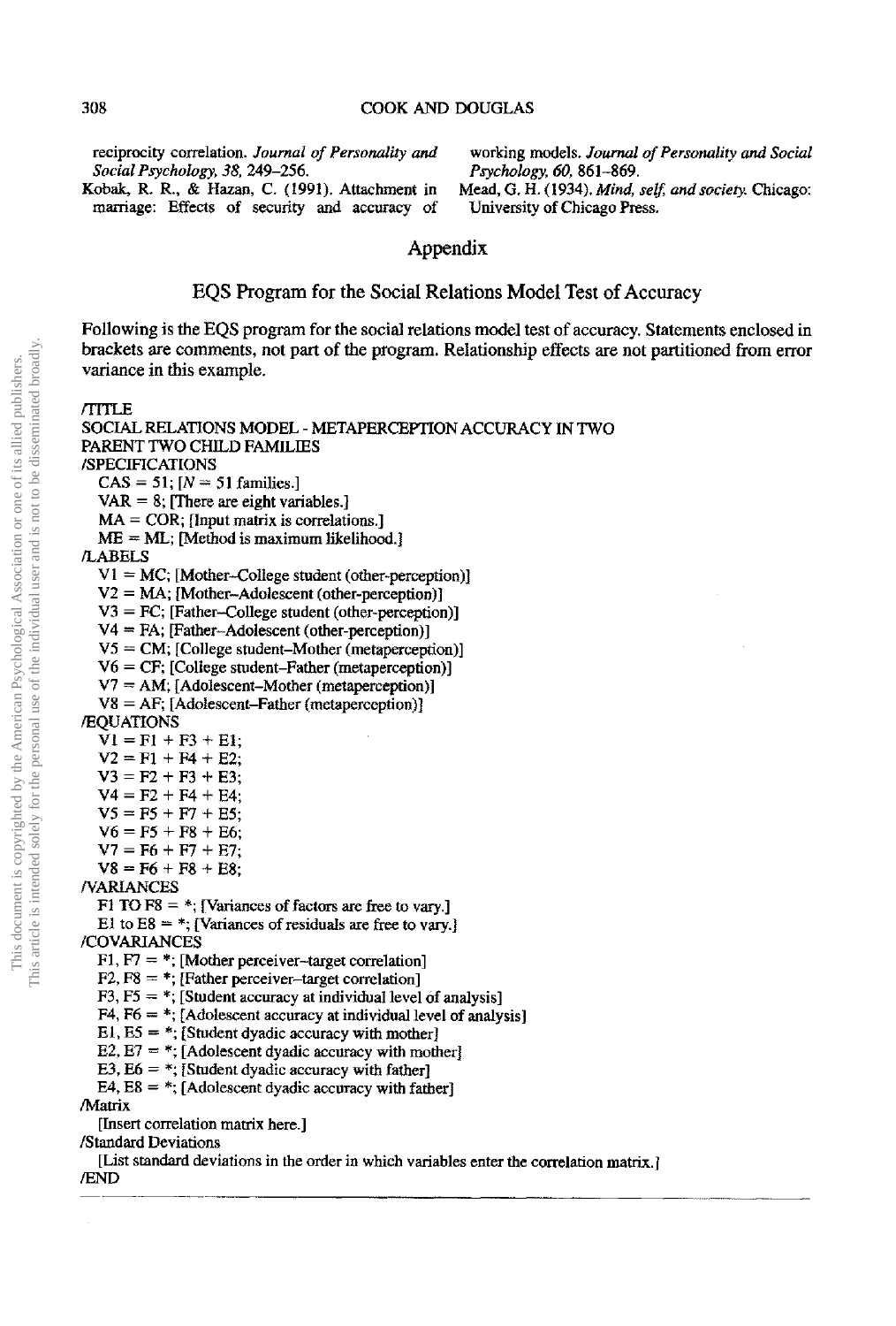reciprocity correlation. *Journal of Personality and* working models. *Journal of Personality and Social Social Psychology, 38,* 249-256. *Psychology, 60,* 861-869.

Kobak, R, *R., &* Hazan, C. (1991). Attachment in Mead, G. H. (1934). *Mind, self, and society.* Chicago: marriage: Effects of security and accuracy of

# Appendix

# EQS Program for the Social Relations Model Test of Accuracy

Following is the EQS program for the social relations model test of accuracy. Statements enclosed in brackets are comments, not part of the program. Relationship effects are not partitioned from error variance in this example.

/TITLE

SOCIAL RELATIONS MODEL - METAPERCEPT1ON ACCURACY IN TWO PARENT TWO CHILD FAMILIES /SPECIFICATIONS  $CAS = 51$ ;  $[N = 51$  families.]  $VAR = 8$ ; [There are eight variables.]  $MA = COR$ ; [Input matrix is correlations.]  $ME = ML$ ; [Method is maximum likelihood.] /LABELS  $V1 = MC$ ; [Mother-College student (other-perception)] V2 = MA; [Mother-Adolescent (other-perception)] V3 = FC; [Father-College student (other-perception)] V4 = FA; [Father-Adolescent (other-perception)]  $V5 = CM$ ; [College student-Mother (metaperception)]  $V6 = CF$ ; [College student-Father (metaperception)]  $V7 = AM$ ; [Adolescent-Mother (metaperception)] V8 = AF; [Adolescent-Father (metaperception)] /EQUATIONS  $\tilde{V}1 = F1 + F3 + E1;$  $V2 = F1 + F4 + E2$ ;  $V3 = F2 + F3 + E3$ ;  $V4 = F2 + F4 + E4;$  $V5 = F5 + F7 + E5$  $V6 = F5 + F8 + E6$ ;  $V7 = F6 + F7 + E7$ ;  $V8 = F6 + F8 + E8;$ /VARIANCES F1 TO F8  $=$  \*; [Variances of factors are free to vary.] E1 to  $E8 = *$ ; [Variances of residuals are free to vary.] /COVARIANCES  $F1, F7 = *;$  [Mother perceiver-target correlation]  $F2, F8 = *;$  [Father perceiver-target correlation]  $F3, F5 = *$ ; [Student accuracy at individual level of analysis] F4,  $F6 = *$ ; [Adolescent accuracy at individual level of analysis] E1,  $ES = *$ ; [Student dyadic accuracy with mother] E2, E7 =  $*$ ; [Adolescent dyadic accuracy with mother] E3,  $E6 = *$ ; [Student dyadic accuracy with father] E4,  $E8 =$ \*; [Adolescent dyadic accuracy with father] /Matrix [Insert correlation matrix here.] /Standard Deviations [List standard deviations in the order in which variables enter the correlation matrix.] /END